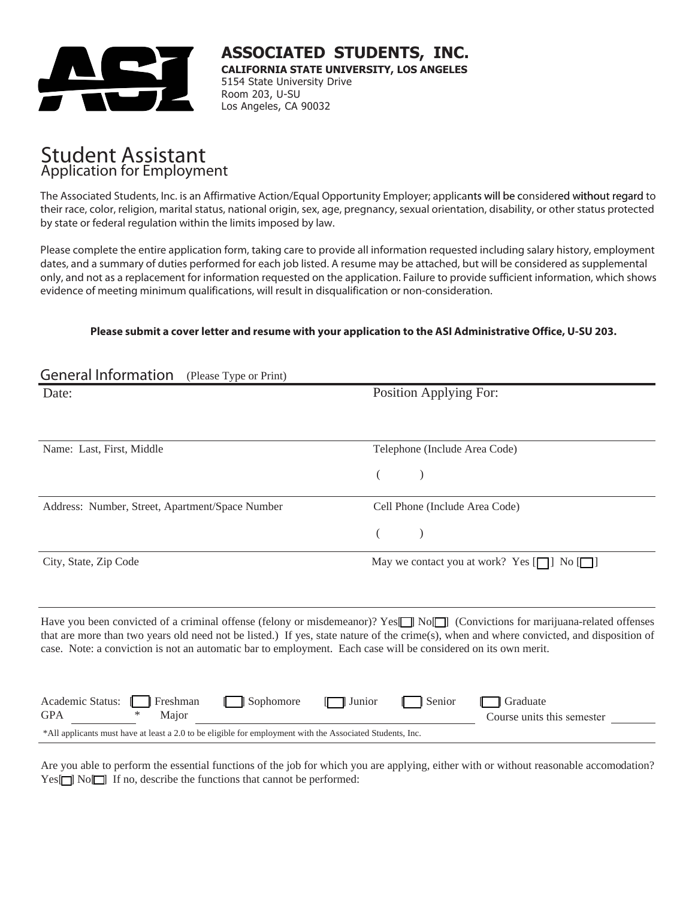

<sup>L</sup> **ASSOCIATED STUDENTS, INC. CALIFORNIA STATE UNIVERSITY, LOS ANGELES** 5154 State University Drive Room 203, U-SU Los Angeles, CA 90032

# Student Assistant Application for Employment

The Associated Students, Inc. is an Affirmative Action/Equal Opportunity Employer; applicants will be considered without regard to their race, color, religion, marital status, national origin, sex, age, pregnancy, sexual orientation, disability, or other status protected by state or federal regulation within the limits imposed by law.

Please complete the entire application form, taking care to provide all information requested including salary history, employment dates, and a summary of duties performed for each job listed. A resume may be attached, but will be considered as supplemental only, and not as a replacement for information requested on the application. Failure to provide sufficient information, which shows evidence of meeting minimum qualifications, will result in disqualification or non-consideration.

#### **Please submit a cover letter and resume with your application to the ASI Administrative Office, U-SU 203.**

| <b>General Information</b><br>(Please Type or Print)                                                                                                                                                                                                                                                                                                                                                              |                                                      |  |  |  |  |  |  |  |
|-------------------------------------------------------------------------------------------------------------------------------------------------------------------------------------------------------------------------------------------------------------------------------------------------------------------------------------------------------------------------------------------------------------------|------------------------------------------------------|--|--|--|--|--|--|--|
| Date:                                                                                                                                                                                                                                                                                                                                                                                                             | Position Applying For:                               |  |  |  |  |  |  |  |
| Name: Last, First, Middle                                                                                                                                                                                                                                                                                                                                                                                         | Telephone (Include Area Code)                        |  |  |  |  |  |  |  |
|                                                                                                                                                                                                                                                                                                                                                                                                                   |                                                      |  |  |  |  |  |  |  |
| Address: Number, Street, Apartment/Space Number                                                                                                                                                                                                                                                                                                                                                                   | Cell Phone (Include Area Code)                       |  |  |  |  |  |  |  |
|                                                                                                                                                                                                                                                                                                                                                                                                                   |                                                      |  |  |  |  |  |  |  |
| City, State, Zip Code                                                                                                                                                                                                                                                                                                                                                                                             | May we contact you at work? Yes $[\Box]$ No $[\Box]$ |  |  |  |  |  |  |  |
| Have you been convicted of a criminal offense (felony or misdemeanor)? Yes <sup>-</sup> No <sup>1</sup> (Convictions for marijuana-related offenses<br>that are more than two years old need not be listed.) If yes, state nature of the crime(s), when and where convicted, and disposition of<br>case. Note: a conviction is not an automatic bar to employment. Each case will be considered on its own merit. |                                                      |  |  |  |  |  |  |  |
| Academic Status:<br>Freshman<br>Sophomore<br>Junior<br><b>GPA</b><br>*<br>Major                                                                                                                                                                                                                                                                                                                                   | Graduate<br>Senior<br>Course units this semester     |  |  |  |  |  |  |  |
| *All applicants must have at least a 2.0 to be eligible for employment with the Associated Students, Inc.                                                                                                                                                                                                                                                                                                         |                                                      |  |  |  |  |  |  |  |

Are you able to perform the essential functions of the job for which you are applying, either with or without reasonable accomodation?  $Yes \nightharpoonup No \nightharpoonup$  If no, describe the functions that cannot be performed: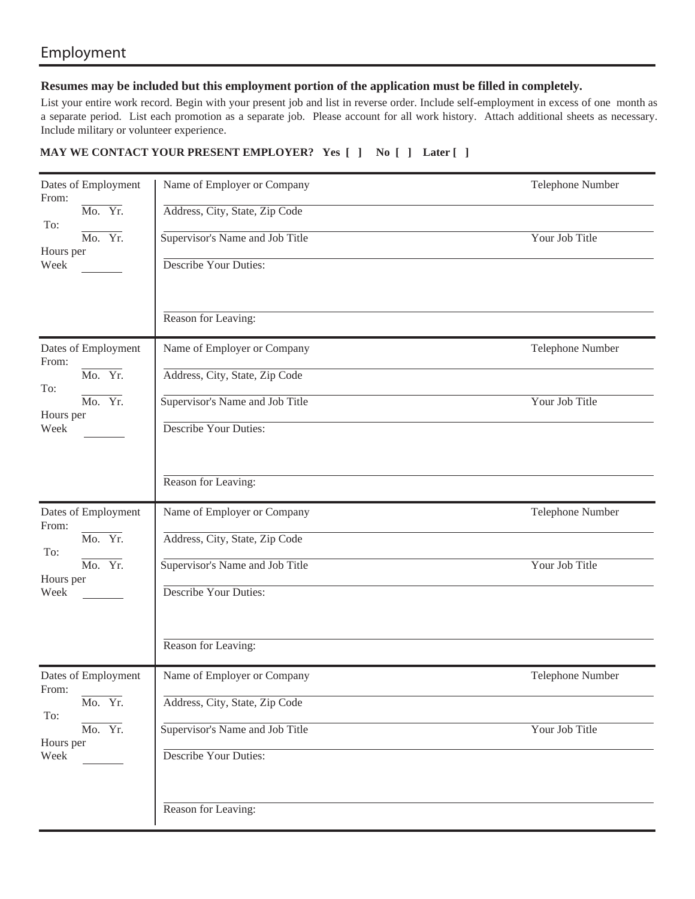### Employment

#### **Resumes may be included but this employment portion of the application must be filled in completely.**

List your entire work record. Begin with your present job and list in reverse order. Include self-employment in excess of one month as a separate period. List each promotion as a separate job. Please account for all work history. Attach additional sheets as necessary. Include military or volunteer experience.

#### **MAY WE CONTACT YOUR PRESENT EMPLOYER? Yes [ ] No [ ] Later [ ]**

| Dates of Employment<br>From:<br>Mo. Yr.<br>To:<br>Mo. Yr.<br>Hours per<br>Week | Name of Employer or Company<br>Address, City, State, Zip Code<br>Supervisor's Name and Job Title<br>Describe Your Duties:<br>Reason for Leaving: | Telephone Number<br>Your Job Title |
|--------------------------------------------------------------------------------|--------------------------------------------------------------------------------------------------------------------------------------------------|------------------------------------|
| Dates of Employment<br>From:<br>Mo. Yr.<br>To:<br>Mo. Yr.<br>Hours per<br>Week | Name of Employer or Company<br>Address, City, State, Zip Code<br>Supervisor's Name and Job Title<br>Describe Your Duties:<br>Reason for Leaving: | Telephone Number<br>Your Job Title |
| Dates of Employment<br>From:<br>Mo. Yr.<br>To:<br>Mo. Yr.<br>Hours per<br>Week | Name of Employer or Company<br>Address, City, State, Zip Code<br>Supervisor's Name and Job Title<br>Describe Your Duties:<br>Reason for Leaving: | Telephone Number<br>Your Job Title |
| Dates of Employment<br>From:<br>Mo. Yr.<br>To:<br>Mo. Yr.<br>Hours per<br>Week | Name of Employer or Company<br>Address, City, State, Zip Code<br>Supervisor's Name and Job Title<br>Describe Your Duties:<br>Reason for Leaving: | Telephone Number<br>Your Job Title |